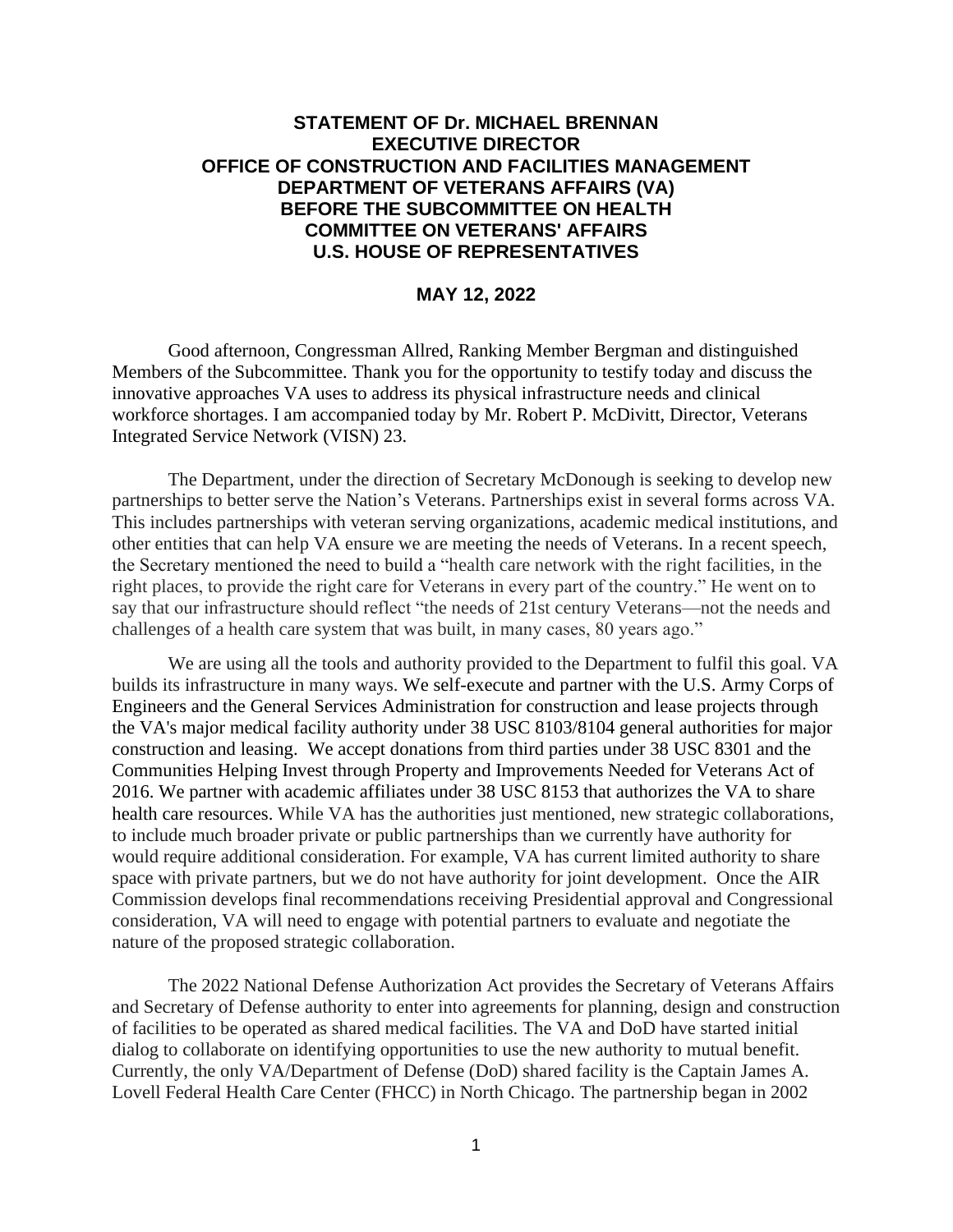## **STATEMENT OF Dr. MICHAEL BRENNAN EXECUTIVE DIRECTOR OFFICE OF CONSTRUCTION AND FACILITIES MANAGEMENT DEPARTMENT OF VETERANS AFFAIRS (VA) BEFORE THE SUBCOMMITTEE ON HEALTH COMMITTEE ON VETERANS' AFFAIRS U.S. HOUSE OF REPRESENTATIVES**

## **MAY 12, 2022**

Good afternoon, Congressman Allred, Ranking Member Bergman and distinguished Members of the Subcommittee. Thank you for the opportunity to testify today and discuss the innovative approaches VA uses to address its physical infrastructure needs and clinical workforce shortages. I am accompanied today by Mr. Robert P. McDivitt, Director, Veterans Integrated Service Network (VISN) 23.

The Department, under the direction of Secretary McDonough is seeking to develop new partnerships to better serve the Nation's Veterans. Partnerships exist in several forms across VA. This includes partnerships with veteran serving organizations, academic medical institutions, and other entities that can help VA ensure we are meeting the needs of Veterans. In a recent speech, the Secretary mentioned the need to build a "health care network with the right facilities, in the right places, to provide the right care for Veterans in every part of the country." He went on to say that our infrastructure should reflect "the needs of 21st century Veterans—not the needs and challenges of a health care system that was built, in many cases, 80 years ago."

We are using all the tools and authority provided to the Department to fulfil this goal. VA builds its infrastructure in many ways. We self-execute and partner with the U.S. Army Corps of Engineers and the General Services Administration for construction and lease projects through the VA's major medical facility authority under 38 USC 8103/8104 general authorities for major construction and leasing. We accept donations from third parties under 38 USC 8301 and the Communities Helping Invest through Property and Improvements Needed for Veterans Act of 2016. We partner with academic affiliates under 38 USC 8153 that authorizes the VA to share health care resources. While VA has the authorities just mentioned, new strategic collaborations, to include much broader private or public partnerships than we currently have authority for would require additional consideration. For example, VA has current limited authority to share space with private partners, but we do not have authority for joint development. Once the AIR Commission develops final recommendations receiving Presidential approval and Congressional consideration, VA will need to engage with potential partners to evaluate and negotiate the nature of the proposed strategic collaboration.

The 2022 National Defense Authorization Act provides the Secretary of Veterans Affairs and Secretary of Defense authority to enter into agreements for planning, design and construction of facilities to be operated as shared medical facilities. The VA and DoD have started initial dialog to collaborate on identifying opportunities to use the new authority to mutual benefit. Currently, the only VA/Department of Defense (DoD) shared facility is the Captain James A. Lovell Federal Health Care Center (FHCC) in North Chicago. The partnership began in 2002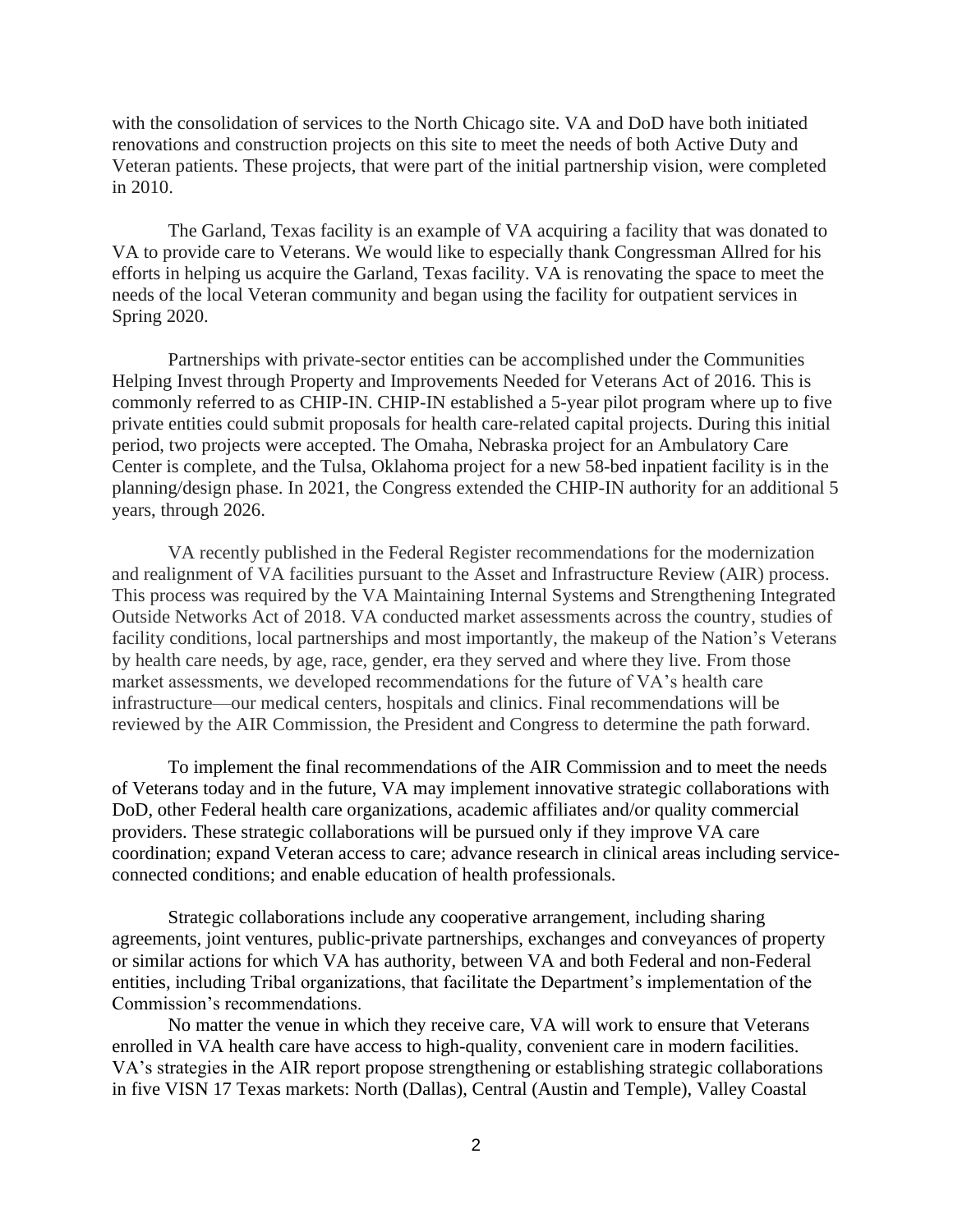with the consolidation of services to the North Chicago site. VA and DoD have both initiated renovations and construction projects on this site to meet the needs of both Active Duty and Veteran patients. These projects, that were part of the initial partnership vision, were completed in 2010.

The Garland, Texas facility is an example of VA acquiring a facility that was donated to VA to provide care to Veterans. We would like to especially thank Congressman Allred for his efforts in helping us acquire the Garland, Texas facility. VA is renovating the space to meet the needs of the local Veteran community and began using the facility for outpatient services in Spring 2020.

Partnerships with private-sector entities can be accomplished under the Communities Helping Invest through Property and Improvements Needed for Veterans Act of 2016. This is commonly referred to as CHIP-IN. CHIP-IN established a 5-year pilot program where up to five private entities could submit proposals for health care-related capital projects. During this initial period, two projects were accepted. The Omaha, Nebraska project for an Ambulatory Care Center is complete, and the Tulsa, Oklahoma project for a new 58-bed inpatient facility is in the planning/design phase. In 2021, the Congress extended the CHIP-IN authority for an additional 5 years, through 2026.

VA recently published in the Federal Register recommendations for the modernization and realignment of VA facilities pursuant to the Asset and Infrastructure Review (AIR) process. This process was required by the VA Maintaining Internal Systems and Strengthening Integrated Outside Networks Act of 2018. VA conducted market assessments across the country, studies of facility conditions, local partnerships and most importantly, the makeup of the Nation's Veterans by health care needs, by age, race, gender, era they served and where they live. From those market assessments, we developed recommendations for the future of VA's health care infrastructure—our medical centers, hospitals and clinics. Final recommendations will be reviewed by the AIR Commission, the President and Congress to determine the path forward.

To implement the final recommendations of the AIR Commission and to meet the needs of Veterans today and in the future, VA may implement innovative strategic collaborations with DoD, other Federal health care organizations, academic affiliates and/or quality commercial providers. These strategic collaborations will be pursued only if they improve VA care coordination; expand Veteran access to care; advance research in clinical areas including serviceconnected conditions; and enable education of health professionals.

Strategic collaborations include any cooperative arrangement, including sharing agreements, joint ventures, public-private partnerships, exchanges and conveyances of property or similar actions for which VA has authority, between VA and both Federal and non-Federal entities, including Tribal organizations, that facilitate the Department's implementation of the Commission's recommendations.

No matter the venue in which they receive care, VA will work to ensure that Veterans enrolled in VA health care have access to high-quality, convenient care in modern facilities. VA's strategies in the AIR report propose strengthening or establishing strategic collaborations in five VISN 17 Texas markets: North (Dallas), Central (Austin and Temple), Valley Coastal